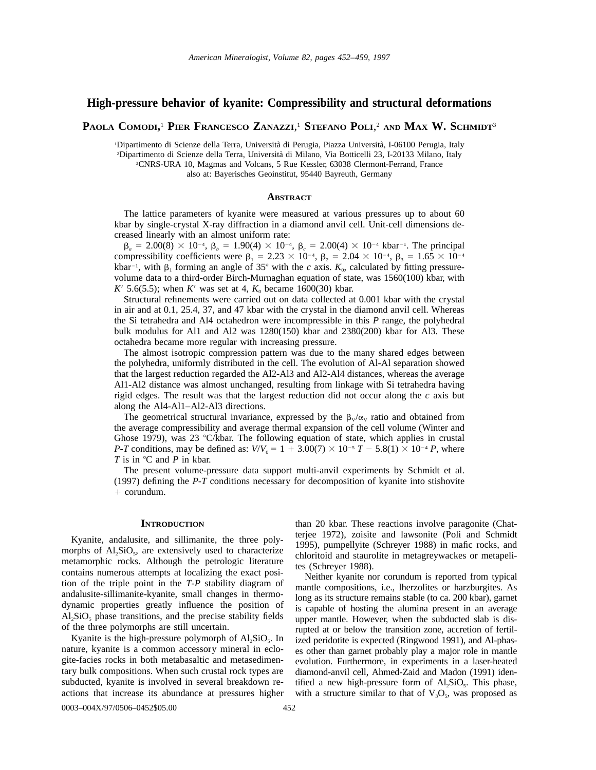# **High-pressure behavior of kyanite: Compressibility and structural deformations**

**PAOLA COMODI,** <sup>1</sup> **PIER FRANCESCO ZANAZZI**, <sup>1</sup> **STEFANO POLI**, <sup>2</sup> **AND MAX W. SCHMIDT**<sup>3</sup>

 Dipartimento di Scienze della Terra, Universita` di Perugia, Piazza Universita`, I-06100 Perugia, Italy Dipartimento di Scienze della Terra, Universita` di Milano, Via Botticelli 23, I-20133 Milano, Italy CNRS-URA 10, Magmas and Volcans, 5 Rue Kessler, 63038 Clermont-Ferrand, France also at: Bayerisches Geoinstitut, 95440 Bayreuth, Germany

## **ABSTRACT**

The lattice parameters of kyanite were measured at various pressures up to about 60 kbar by single-crystal X-ray diffraction in a diamond anvil cell. Unit-cell dimensions decreased linearly with an almost uniform rate:

 $\beta_a = 2.00(8) \times 10^{-4}$ ,  $\beta_b = 1.90(4) \times 10^{-4}$ ,  $\beta_c = 2.00(4) \times 10^{-4}$  kbar<sup>-1</sup>. The principal compressibility coefficients were  $\beta_1 = 2.23 \times 10^{-4}$ ,  $\beta_2 = 2.04 \times 10^{-4}$ ,  $\beta_3 = 1.65 \times 10^{-4}$ kbar<sup>-1</sup>, with  $\beta_1$  forming an angle of 35° with the *c* axis.  $K_0$ , calculated by fitting pressurevolume data to a third-order Birch-Murnaghan equation of state, was 1560(100) kbar, with *K*<sup> $\prime$ </sup> 5.6(5.5); when *K*<sup> $\prime$ </sup> was set at 4,  $K_0$  became 1600(30) kbar.

Structural refinements were carried out on data collected at 0.001 kbar with the crystal in air and at 0.1, 25.4, 37, and 47 kbar with the crystal in the diamond anvil cell. Whereas the Si tetrahedra and Al4 octahedron were incompressible in this *P* range, the polyhedral bulk modulus for Al1 and Al2 was 1280(150) kbar and 2380(200) kbar for Al3. These octahedra became more regular with increasing pressure.

The almost isotropic compression pattern was due to the many shared edges between the polyhedra, uniformly distributed in the cell. The evolution of Al-Al separation showed that the largest reduction regarded the Al2-Al3 and Al2-Al4 distances, whereas the average Al1-Al2 distance was almost unchanged, resulting from linkage with Si tetrahedra having rigid edges. The result was that the largest reduction did not occur along the *c* axis but along the Al4-Al1–Al2-Al3 directions.

The geometrical structural invariance, expressed by the  $\beta_v/\alpha_v$  ratio and obtained from the average compressibility and average thermal expansion of the cell volume (Winter and Ghose 1979), was 23  $\textdegree$ C/kbar. The following equation of state, which applies in crustal *P-T* conditions, may be defined as:  $V/V_0 = 1 + 3.00(7) \times 10^{-5} T - 5.8(1) \times 10^{-4} P$ , where *T* is in °C and *P* in kbar.

The present volume-pressure data support multi-anvil experiments by Schmidt et al. (1997) defining the *P-T* conditions necessary for decomposition of kyanite into stishovite + corundum.

### **INTRODUCTION**

Kyanite, andalusite, and sillimanite, the three polymorphs of  $Al_2SiO_5$ , are extensively used to characterize metamorphic rocks. Although the petrologic literature contains numerous attempts at localizing the exact position of the triple point in the *T-P* stability diagram of andalusite-sillimanite-kyanite, small changes in thermodynamic properties greatly influence the position of  $AI<sub>2</sub>SiO<sub>5</sub>$  phase transitions, and the precise stability fields of the three polymorphs are still uncertain.

Kyanite is the high-pressure polymorph of  $Al_2SiO_5$ . In nature, kyanite is a common accessory mineral in eclogite-facies rocks in both metabasaltic and metasedimentary bulk compositions. When such crustal rock types are subducted, kyanite is involved in several breakdown reactions that increase its abundance at pressures higher

than 20 kbar. These reactions involve paragonite (Chatterjee 1972), zoisite and lawsonite (Poli and Schmidt 1995), pumpellyite (Schreyer 1988) in mafic rocks, and chloritoid and staurolite in metagreywackes or metapelites (Schreyer 1988).

Neither kyanite nor corundum is reported from typical mantle compositions, i.e., lherzolites or harzburgites. As long as its structure remains stable (to ca. 200 kbar), garnet is capable of hosting the alumina present in an average upper mantle. However, when the subducted slab is disrupted at or below the transition zone, accretion of fertilized peridotite is expected (Ringwood 1991), and Al-phases other than garnet probably play a major role in mantle evolution. Furthermore, in experiments in a laser-heated diamond-anvil cell, Ahmed-Zaid and Madon (1991) identified a new high-pressure form of  $Al_2SiO_5$ . This phase, with a structure similar to that of  $V_3O_5$ , was proposed as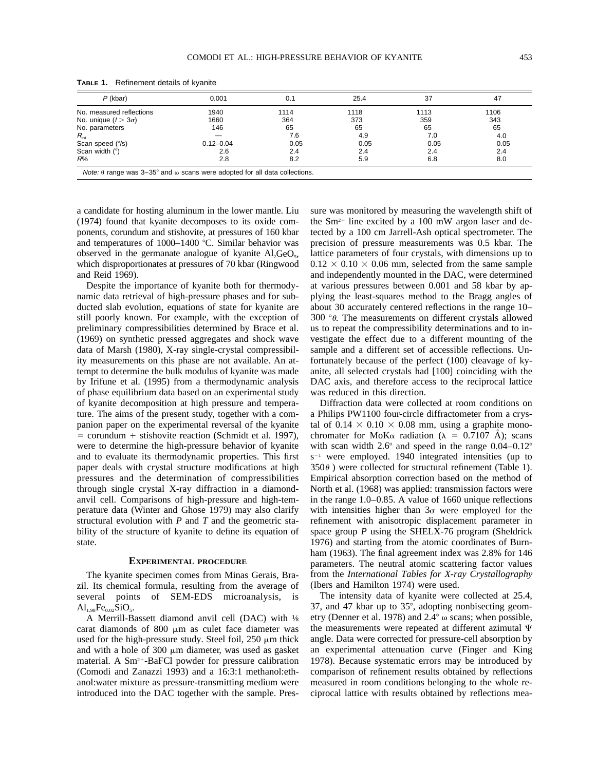| $P$ (kbar)                 | 0.001         | 0.1  | 25.4 | 37   | 47   |
|----------------------------|---------------|------|------|------|------|
| No. measured reflections   | 1940          | 1114 | 1118 | 1113 | 1106 |
| No. unique $(l > 3\sigma)$ | 1660          | 364  | 373  | 359  | 343  |
| No. parameters             | 146           | 65   | 65   | 65   | 65   |
| $R_{\text{int}}$           |               | 7.6  | 4.9  | 7.0  | 4.0  |
| Scan speed (%)             | $0.12 - 0.04$ | 0.05 | 0.05 | 0.05 | 0.05 |
| Scan width $(°)$           | 2.6           | 2.4  | 2.4  | 2.4  | 2.4  |
| R%                         | 2.8           | 8.2  | 5.9  | 6.8  | 8.0  |

**TABLE 1.** Refinement details of kyanite

a candidate for hosting aluminum in the lower mantle. Liu (1974) found that kyanite decomposes to its oxide components, corundum and stishovite, at pressures of 160 kbar and temperatures of  $1000-1400$  °C. Similar behavior was observed in the germanate analogue of kyanite  $AI_2GeO_5$ , which disproportionates at pressures of 70 kbar (Ringwood and Reid 1969).

Despite the importance of kyanite both for thermodynamic data retrieval of high-pressure phases and for subducted slab evolution, equations of state for kyanite are still poorly known. For example, with the exception of preliminary compressibilities determined by Brace et al. (1969) on synthetic pressed aggregates and shock wave data of Marsh (1980), X-ray single-crystal compressibility measurements on this phase are not available. An attempt to determine the bulk modulus of kyanite was made by Irifune et al. (1995) from a thermodynamic analysis of phase equilibrium data based on an experimental study of kyanite decomposition at high pressure and temperature. The aims of the present study, together with a companion paper on the experimental reversal of the kyanite  $=$  corundum  $+$  stishovite reaction (Schmidt et al. 1997), were to determine the high-pressure behavior of kyanite and to evaluate its thermodynamic properties. This first paper deals with crystal structure modifications at high pressures and the determination of compressibilities through single crystal X-ray diffraction in a diamondanvil cell. Comparisons of high-pressure and high-temperature data (Winter and Ghose 1979) may also clarify structural evolution with *P* and *T* and the geometric stability of the structure of kyanite to define its equation of state.

#### **EXPERIMENTAL PROCEDURE**

The kyanite specimen comes from Minas Gerais, Brazil. Its chemical formula, resulting from the average of several points of SEM-EDS microanalysis, is  $Al_{1.98}Fe_{0.02}SiO_5.$ 

A Merrill-Bassett diamond anvil cell (DAC) with ⅛ carat diamonds of 800  $\mu$ m as culet face diameter was used for the high-pressure study. Steel foil,  $250 \mu m$  thick and with a hole of  $300 \mu m$  diameter, was used as gasket material. A  $Sm^{2+}$ -BaFCl powder for pressure calibration (Comodi and Zanazzi 1993) and a 16:3:1 methanol:ethanol:water mixture as pressure-transmitting medium were introduced into the DAC together with the sample. Pressure was monitored by measuring the wavelength shift of the  $Sm^{2+}$  line excited by a 100 mW argon laser and detected by a 100 cm Jarrell-Ash optical spectrometer. The precision of pressure measurements was 0.5 kbar. The lattice parameters of four crystals, with dimensions up to  $0.12 \times 0.10 \times 0.06$  mm, selected from the same sample and independently mounted in the DAC, were determined at various pressures between 0.001 and 58 kbar by applying the least-squares method to the Bragg angles of about 30 accurately centered reflections in the range 10– 300  $\degree$ *θ*. The measurements on different crystals allowed us to repeat the compressibility determinations and to investigate the effect due to a different mounting of the sample and a different set of accessible reflections. Unfortunately because of the perfect (100) cleavage of kyanite, all selected crystals had [100] coinciding with the DAC axis, and therefore access to the reciprocal lattice was reduced in this direction.

Diffraction data were collected at room conditions on a Philips PW1100 four-circle diffractometer from a crystal of  $0.14 \times 0.10 \times 0.08$  mm, using a graphite monochromater for MoK $\alpha$  radiation ( $\lambda = 0.7107$  Å); scans with scan width  $2.6^{\circ}$  and speed in the range  $0.04-0.12^{\circ}$  $s^{-1}$  were employed. 1940 integrated intensities (up to  $350\theta$ ) were collected for structural refinement (Table 1). Empirical absorption correction based on the method of North et al. (1968) was applied: transmission factors were in the range 1.0–0.85. A value of 1660 unique reflections with intensities higher than  $3\sigma$  were employed for the refinement with anisotropic displacement parameter in space group *P* using the SHELX-76 program (Sheldrick 1976) and starting from the atomic coordinates of Burnham (1963). The final agreement index was 2.8% for 146 parameters. The neutral atomic scattering factor values from the *International Tables for X-ray Crystallography* (Ibers and Hamilton 1974) were used.

The intensity data of kyanite were collected at 25.4, 37, and 47 kbar up to  $35^{\circ}$ , adopting nonbisecting geometry (Denner et al. 1978) and  $2.4^{\circ}$   $\omega$  scans; when possible, the measurements were repeated at different azimutal  $\Psi$ angle. Data were corrected for pressure-cell absorption by an experimental attenuation curve (Finger and King 1978). Because systematic errors may be introduced by comparison of refinement results obtained by reflections measured in room conditions belonging to the whole reciprocal lattice with results obtained by reflections mea-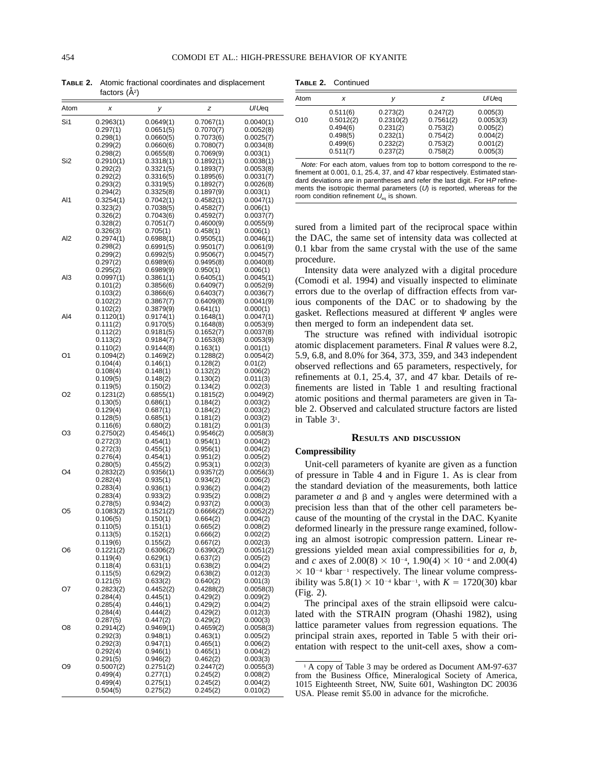**TABLE 2.** Atomic fractional coordinates and displacement factors  $(\AA^2)$ 

| Atom            | X                     | у                      | z                      | U/Ueq                  |
|-----------------|-----------------------|------------------------|------------------------|------------------------|
| Si1             | 0.2963(1)             | 0.0649(1)              | 0.7067(1)              | 0.0040(1)              |
|                 | 0.297(1)              | 0.0651(5)              | 0.7070(7)              | 0.0052(8)              |
|                 | 0.298(1)              | 0.0660(5)              | 0.7073(6)              | 0.0025(7)              |
|                 | 0.299(2)              | 0.0660(6)              | 0.7080(7)              | 0.0034(8)              |
|                 | 0.298(2)              | 0.0655(8)              | 0.7069(9)              | 0.003(1)               |
| Si2             | 0.2910(1)             | 0.3318(1)              | 0.1892(1)              | 0.0038(1)              |
|                 | 0.292(2)              | 0.3321(5)              | 0.1893(7)              | 0.0053(8)              |
|                 | 0.292(2)              | 0.3316(5)              | 0.1895(6)              | 0.0031(7)              |
|                 | 0.293(2)              | 0.3319(5)              | 0.1892(7)              | 0.0026(8)              |
|                 | 0.294(2)              | 0.3325(8)              | 0.1897(9)              | 0.003(1)               |
| AI1             | 0.3254(1)<br>0.323(2) | 0.7042(1)<br>0.7038(5) | 0.4582(1)<br>0.4582(7) | 0.0047(1)              |
|                 | 0.326(2)              | 0.7043(6)              | 0.4592(7)              | 0.006(1)<br>0.0037(7)  |
|                 | 0.328(2)              | 0.7051(7)              | 0.4600(9)              | 0.0055(9)              |
|                 | 0.326(3)              | 0.705(1)               | 0.458(1)               | 0.006(1)               |
| AI <sub>2</sub> | 0.2974(1)             | 0.6988(1)              | 0.9505(1)              | 0.0046(1)              |
|                 | 0.298(2)              | 0.6991(5)              | 0.9501(7)              | 0.0061(9)              |
|                 | 0.299(2)              | 0.6992(5)              | 0.9506(7)              | 0.0045(7)              |
|                 | 0.297(2)              | 0.6989(6)              | 0.9495(8)              | 0.0040(8)              |
|                 | 0.295(2)              | 0.6989(9)              | 0.950(1)               | 0.006(1)               |
| AI3             | 0.0997(1)             | 0.3861(1)              | 0.6405(1)              | 0.0045(1)              |
|                 | 0.101(2)              | 0.3856(6)              | 0.6409(7)              | 0.0052(9)              |
|                 | 0.103(2)              | 0.3866(6)              | 0.6403(7)              | 0.0036(7)              |
|                 | 0.102(2)              | 0.3867(7)              | 0.6409(8)              | 0.0041(9)              |
|                 | 0.102(2)              | 0.3879(9)              | 0.641(1)               | 0.000(1)               |
| AI4             | 0.1120(1)             | 0.9174(1)<br>0.9170(5) | 0.1648(1)              | 0.0047(1)              |
|                 | 0.111(2)<br>0.112(2)  | 0.9181(5)              | 0.1648(8)<br>0.1652(7) | 0.0053(9)<br>0.0037(8) |
|                 | 0.113(2)              | 0.9184(7)              | 0.1653(8)              | 0.0053(9)              |
|                 | 0.110(2)              | 0.9144(8)              | 0.163(1)               | 0.001(1)               |
| O1              | 0.1094(2)             | 0.1469(2)              | 0.1288(2)              | 0.0054(2)              |
|                 | 0.104(4)              | 0.146(1)               | 0.128(2)               | 0.01(2)                |
|                 | 0.108(4)              | 0.148(1)               | 0.132(2)               | 0.006(2)               |
|                 | 0.109(5)              | 0.148(2)               | 0.130(2)               | 0.011(3)               |
|                 | 0.119(5)              | 0.150(2)               | 0.134(2)               | 0.002(3)               |
| O2              | 0.1231(2)             | 0.6855(1)              | 0.1815(2)              | 0.0049(2)              |
|                 | 0.130(5)              | 0.686(1)               | 0.184(2)               | 0.003(2)               |
|                 | 0.129(4)              | 0.687(1)               | 0.184(2)               | 0.003(2)               |
|                 | 0.128(5)              | 0.685(1)               | 0.181(2)               | 0.003(2)               |
| O3              | 0.116(6)<br>0.2750(2) | 0.680(2)<br>0.4546(1)  | 0.181(2)<br>0.9546(2)  | 0.001(3)<br>0.0058(3)  |
|                 | 0.272(3)              | 0.454(1)               | 0.954(1)               | 0.004(2)               |
|                 | 0.272(3)              | 0.455(1)               | 0.956(1)               | 0.004(2)               |
|                 | 0.276(4)              | 0.454(1)               | 0.951(2)               | 0.005(2)               |
|                 | 0.280(5)              | 0.455(2)               | 0.953(1)               | 0.002(3)               |
| O4              | 0.2832(2)             | 0.9356(1)              | 0.9357(2)              | 0.0056(3)              |
|                 | 0.282(4)              | 0.935(1)               | 0.934(2)               | 0.006(2)               |
|                 | 0.283(4)              | 0.936(1)               | 0.936(2)               | 0.004(2)               |
|                 | 0.283(4)              | 0.933(2)               | 0.935(2)               | 0.008(2)               |
|                 | 0.278(5)              | 0.934(2)               | 0.937(2)               | 0.000(3)               |
| O5              | 0.1083(2)             | 0.1521(2)              | 0.6666(2)              | 0.0052(2)              |
|                 | 0.106(5)<br>0.110(5)  | 0.150(1)<br>0.151(1)   | 0.664(2)               | 0.004(2)               |
|                 | 0.113(5)              | 0.152(1)               | 0.665(2)<br>0.666(2)   | 0.008(2)<br>0.002(2)   |
|                 | 0.119(6)              | 0.155(2)               | 0.667(2)               | 0.002(3)               |
| O6              | 0.1221(2)             | 0.6306(2)              | 0.6390(2)              | 0.0051(2)              |
|                 | 0.119(4)              | 0.629(1)               | 0.637(2)               | 0.005(2)               |
|                 | 0.118(4)              | 0.631(1)               | 0.638(2)               | 0.004(2)               |
|                 | 0.115(5)              | 0.629(2)               | 0.638(2)               | 0.012(3)               |
|                 | 0.121(5)              | 0.633(2)               | 0.640(2)               | 0.001(3)               |
| O7              | 0.2823(2)             | 0.4452(2)              | 0.4288(2)              | 0.0058(3)              |
|                 | 0.284(4)              | 0.445(1)               | 0.429(2)               | 0.009(2)               |
|                 | 0.285(4)              | 0.446(1)               | 0.429(2)               | 0.004(2)               |
|                 | 0.284(4)              | 0.444(2)               | 0.429(2)               | 0.012(3)               |
|                 | 0.287(5)              | 0.447(2)               | 0.429(2)               | 0.000(3)               |
| O8              | 0.2914(2)             | 0.9469(1)              | 0.4659(2)              | 0.0058(3)              |
|                 | 0.292(3)<br>0.292(3)  | 0.948(1)               | 0.463(1)<br>0.465(1)   | 0.005(2)               |
|                 | 0.292(4)              | 0.947(1)<br>0.946(1)   | 0.465(1)               | 0.006(2)<br>0.004(2)   |
|                 | 0.291(5)              | 0.946(2)               | 0.462(2)               | 0.003(3)               |
| O9              | 0.5007(2)             | 0.2751(2)              | 0.2447(2)              | 0.0055(3)              |
|                 | 0.499(4)              | 0.277(1)               | 0.245(2)               | 0.008(2)               |
|                 | 0.499(4)              | 0.275(1)               | 0.245(2)               | 0.004(2)               |
|                 | 0.504(5)              | 0.275(2)               | 0.245(2)               | 0.010(2)               |

| Table 2. | Continued |
|----------|-----------|
|----------|-----------|

| Atom            |                                                                       |                                                                       | z                                                                     | U/Ueq                                                                 |
|-----------------|-----------------------------------------------------------------------|-----------------------------------------------------------------------|-----------------------------------------------------------------------|-----------------------------------------------------------------------|
| O <sub>10</sub> | 0.511(6)<br>0.5012(2)<br>0.494(6)<br>0.498(5)<br>0.499(6)<br>0.511(7) | 0.273(2)<br>0.2310(2)<br>0.231(2)<br>0.232(1)<br>0.232(2)<br>0.237(2) | 0.247(2)<br>0.7561(2)<br>0.753(2)<br>0.754(2)<br>0.753(2)<br>0.758(2) | 0.005(3)<br>0.0053(3)<br>0.005(2)<br>0.004(2)<br>0.001(2)<br>0.005(3) |

Note: For each atom, values from top to bottom correspond to the refinement at 0.001, 0.1, 25.4, 37, and 47 kbar respectively. Estimated standard deviations are in parentheses and refer the last digit. For HP refinements the isotropic thermal parameters  $(U)$  is reported, whereas for the room condition refinement  $U_{eq}$  is shown.

sured from a limited part of the reciprocal space within the DAC, the same set of intensity data was collected at 0.1 kbar from the same crystal with the use of the same procedure.

Intensity data were analyzed with a digital procedure (Comodi et al. 1994) and visually inspected to eliminate errors due to the overlap of diffraction effects from various components of the DAC or to shadowing by the gasket. Reflections measured at different  $\Psi$  angles were then merged to form an independent data set.

The structure was refined with individual isotropic atomic displacement parameters. Final *R* values were 8.2, 5.9, 6.8, and 8.0% for 364, 373, 359, and 343 independent observed reflections and 65 parameters, respectively, for refinements at 0.1, 25.4, 37, and 47 kbar. Details of refinements are listed in Table 1 and resulting fractional atomic positions and thermal parameters are given in Table 2. Observed and calculated structure factors are listed in Table 31 .

### **RESULTS AND DISCUSSION**

## **Compressibility**

Unit-cell parameters of kyanite are given as a function of pressure in Table 4 and in Figure 1. As is clear from the standard deviation of the measurements, both lattice parameter *a* and  $\beta$  and  $\gamma$  angles were determined with a precision less than that of the other cell parameters because of the mounting of the crystal in the DAC. Kyanite deformed linearly in the pressure range examined, following an almost isotropic compression pattern. Linear regressions yielded mean axial compressibilities for *a, b,* and *c* axes of  $2.00(8) \times 10^{-4}$ ,  $1.90(4) \times 10^{-4}$  and  $2.00(4)$  $\times$  10<sup>-4</sup> kbar<sup>-1</sup> respectively. The linear volume compressibility was  $5.8(1) \times 10^{-4}$  kbar<sup>-1</sup>, with  $K = 1720(30)$  kbar (Fig. 2).

The principal axes of the strain ellipsoid were calculated with the STRAIN program (Ohashi 1982), using lattice parameter values from regression equations. The principal strain axes, reported in Table 5 with their orientation with respect to the unit-cell axes, show a com-

<sup>1</sup> A copy of Table 3 may be ordered as Document AM-97-637 from the Business Office, Mineralogical Society of America, 1015 Eighteenth Street, NW, Suite 601, Washington DC 20036 USA. Please remit \$5.00 in advance for the microfiche.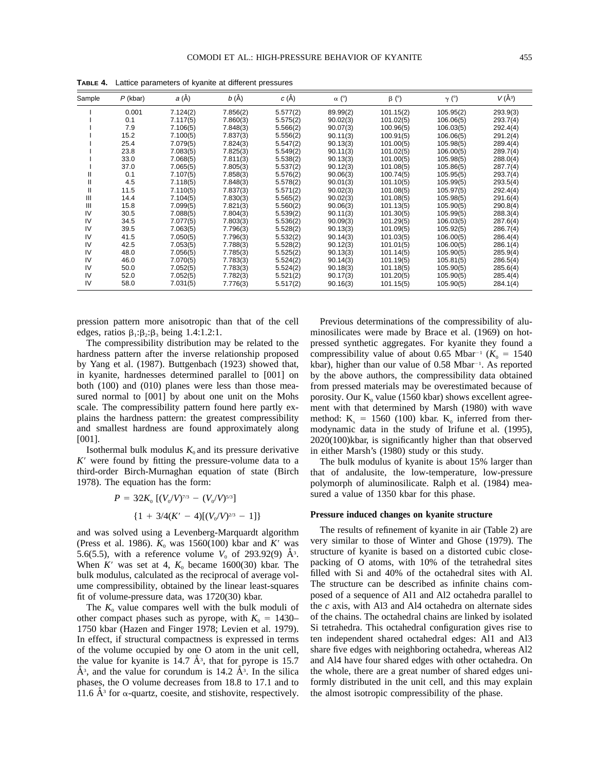| Sample | $P$ (kbar) | $a(\AA)$ | $b(\AA)$ | $C(\AA)$ | $\alpha$ (°) | $\beta$ (°) | $\gamma$ (°) | $V(\AA^3)$ |
|--------|------------|----------|----------|----------|--------------|-------------|--------------|------------|
|        | 0.001      | 7.124(2) | 7.856(2) | 5.577(2) | 89.99(2)     | 101.15(2)   | 105.95(2)    | 293.9(3)   |
|        | 0.1        | 7.117(5) | 7.860(3) | 5.575(2) | 90.02(3)     | 101.02(5)   | 106.06(5)    | 293.7(4)   |
|        | 7.9        | 7.106(5) | 7.848(3) | 5.566(2) | 90.07(3)     | 100.96(5)   | 106.03(5)    | 292.4(4)   |
|        | 15.2       | 7.100(5) | 7.837(3) | 5.556(2) | 90.11(3)     | 100.91(5)   | 106.06(5)    | 291.2(4)   |
|        | 25.4       | 7.079(5) | 7.824(3) | 5.547(2) | 90.13(3)     | 101.00(5)   | 105.98(5)    | 289.4(4)   |
|        | 23.8       | 7.083(5) | 7.825(3) | 5.549(2) | 90.11(3)     | 101.02(5)   | 106.00(5)    | 289.7(4)   |
|        | 33.0       | 7.068(5) | 7.811(3) | 5.538(2) | 90.13(3)     | 101.00(5)   | 105.98(5)    | 288.0(4)   |
|        | 37.0       | 7.065(5) | 7.805(3) | 5.537(2) | 90.12(3)     | 101.08(5)   | 105.86(5)    | 287.7(4)   |
| Ш      | 0.1        | 7.107(5) | 7.858(3) | 5.576(2) | 90.06(3)     | 100.74(5)   | 105.95(5)    | 293.7(4)   |
| Ш      | 4.5        | 7.118(5) | 7.848(3) | 5.578(2) | 90.01(3)     | 101.10(5)   | 105.99(5)    | 293.5(4)   |
| Ш      | 11.5       | 7.110(5) | 7.837(3) | 5.571(2) | 90.02(3)     | 101.08(5)   | 105.97(5)    | 292.4(4)   |
| Ш      | 14.4       | 7.104(5) | 7.830(3) | 5.565(2) | 90.02(3)     | 101.08(5)   | 105.98(5)    | 291.6(4)   |
| Ш      | 15.8       | 7.099(5) | 7.821(3) | 5.560(2) | 90.06(3)     | 101.13(5)   | 105.90(5)    | 290.8(4)   |
| IV     | 30.5       | 7.088(5) | 7.804(3) | 5.539(2) | 90.11(3)     | 101.30(5)   | 105.99(5)    | 288.3(4)   |
| IV     | 34.5       | 7.077(5) | 7.803(3) | 5.536(2) | 90.09(3)     | 101.29(5)   | 106.03(5)    | 287.6(4)   |
| IV     | 39.5       | 7.063(5) | 7.796(3) | 5.528(2) | 90.13(3)     | 101.09(5)   | 105.92(5)    | 286.7(4)   |
| IV     | 41.5       | 7.050(5) | 7.796(3) | 5.532(2) | 90.14(3)     | 101.03(5)   | 106.00(5)    | 286.4(4)   |
| IV     | 42.5       | 7.053(5) | 7.788(3) | 5.528(2) | 90.12(3)     | 101.01(5)   | 106.00(5)    | 286.1(4)   |
| IV     | 48.0       | 7.056(5) | 7.785(3) | 5.525(2) | 90.13(3)     | 101.14(5)   | 105.90(5)    | 285.9(4)   |
| IV     | 46.0       | 7.070(5) | 7.783(3) | 5.524(2) | 90.14(3)     | 101.19(5)   | 105.81(5)    | 286.5(4)   |
| IV     | 50.0       | 7.052(5) | 7.783(3) | 5.524(2) | 90.18(3)     | 101.18(5)   | 105.90(5)    | 285.6(4)   |
| IV     | 52.0       | 7.052(5) | 7.782(3) | 5.521(2) | 90.17(3)     | 101.20(5)   | 105.90(5)    | 285.4(4)   |
| IV     | 58.0       | 7.031(5) | 7.776(3) | 5.517(2) | 90.16(3)     | 101.15(5)   | 105.90(5)    | 284.1(4)   |

**TABLE 4.** Lattice parameters of kyanite at different pressures

pression pattern more anisotropic than that of the cell edges, ratios  $\beta_1:\beta_2:\beta_3$  being 1.4:1.2:1.

The compressibility distribution may be related to the hardness pattern after the inverse relationship proposed by Yang et al. (1987). Buttgenbach (1923) showed that, in kyanite, hardnesses determined parallel to [001] on both (100) and (010) planes were less than those measured normal to [001] by about one unit on the Mohs scale. The compressibility pattern found here partly explains the hardness pattern: the greatest compressibility and smallest hardness are found approximately along [001].

Isothermal bulk modulus  $K_0$  and its pressure derivative  $K'$  were found by fitting the pressure-volume data to a third-order Birch-Murnaghan equation of state (Birch 1978). The equation has the form:

$$
P = 32K_0 \left[ (V_0/V)^{7/3} - (V_0/V)^{5/3} \right]
$$
  

$$
\{1 + 3/4(K' - 4)[(V_0/V)^{2/3} - 1]\}
$$

and was solved using a Levenberg-Marquardt algorithm (Press et al. 1986).  $K_0$  was 1560(100) kbar and  $K'$  was 5.6(5.5), with a reference volume  $V_0$  of 293.92(9)  $\AA$ <sup>3</sup>. When  $K'$  was set at 4,  $K_0$  became 1600(30) kbar. The bulk modulus, calculated as the reciprocal of average volume compressibility, obtained by the linear least-squares fit of volume-pressure data, was 1720(30) kbar.

The  $K_0$  value compares well with the bulk moduli of other compact phases such as pyrope, with  $K_0 = 1430-$ 1750 kbar (Hazen and Finger 1978; Levien et al. 1979). In effect, if structural compactness is expressed in terms of the volume occupied by one O atom in the unit cell, the value for kyanite is  $14.7 \text{ Å}^3$ , that for pyrope is 15.7  $A^3$ , and the value for corundum is 14.2  $A^3$ . In the silica phases, the O volume decreases from 18.8 to 17.1 and to 11.6  $A^3$  for  $\alpha$ -quartz, coesite, and stishovite, respectively.

Previous determinations of the compressibility of aluminosilicates were made by Brace et al. (1969) on hotpressed synthetic aggregates. For kyanite they found a compressibility value of about 0.65 Mbar<sup>-1</sup> ( $K_0 = 1540$ ) kbar), higher than our value of 0.58 Mbar<sup>-1</sup>. As reported by the above authors, the compressibility data obtained from pressed materials may be overestimated because of porosity. Our  $K_0$  value (1560 kbar) shows excellent agreement with that determined by Marsh (1980) with wave method:  $K_s = 1560$  (100) kbar.  $K_0$  inferred from thermodynamic data in the study of Irifune et al. (1995), 2020(100)kbar, is significantly higher than that observed in either Marsh's (1980) study or this study.

The bulk modulus of kyanite is about 15% larger than that of andalusite, the low-temperature, low-pressure polymorph of aluminosilicate. Ralph et al. (1984) measured a value of 1350 kbar for this phase.

#### **Pressure induced changes on kyanite structure**

The results of refinement of kyanite in air (Table 2) are very similar to those of Winter and Ghose (1979). The structure of kyanite is based on a distorted cubic closepacking of O atoms, with 10% of the tetrahedral sites filled with Si and 40% of the octahedral sites with Al. The structure can be described as infinite chains composed of a sequence of Al1 and Al2 octahedra parallel to the *c* axis, with Al3 and Al4 octahedra on alternate sides of the chains. The octahedral chains are linked by isolated Si tetrahedra. This octahedral configuration gives rise to ten independent shared octahedral edges: Al1 and Al3 share five edges with neighboring octahedra, whereas Al2 and Al4 have four shared edges with other octahedra. On the whole, there are a great number of shared edges uniformly distributed in the unit cell, and this may explain the almost isotropic compressibility of the phase.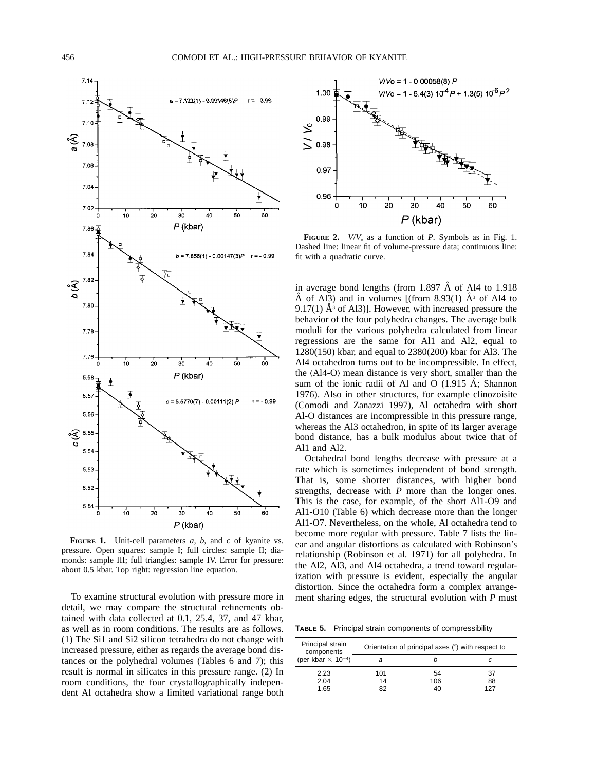

**FIGURE 1.** Unit-cell parameters *a, b,* and *c* of kyanite vs. pressure. Open squares: sample I; full circles: sample II; diamonds: sample III; full triangles: sample IV. Error for pressure: about 0.5 kbar. Top right: regression line equation.

To examine structural evolution with pressure more in detail, we may compare the structural refinements obtained with data collected at 0.1, 25.4, 37, and 47 kbar, as well as in room conditions. The results are as follows. (1) The Si1 and Si2 silicon tetrahedra do not change with increased pressure, either as regards the average bond distances or the polyhedral volumes (Tables 6 and 7); this result is normal in silicates in this pressure range. (2) In room conditions, the four crystallographically independent Al octahedra show a limited variational range both



**FIGURE** 2. *V/V*<sub>o</sub> as a function of *P*. Symbols as in Fig. 1. Dashed line: linear fit of volume-pressure data; continuous line: fit with a quadratic curve.

in average bond lengths (from 1.897  $\AA$  of Al4 to 1.918 Å of Al3) and in volumes [(from 8.93(1)  $A^3$  of Al4 to 9.17(1)  $\AA$ <sup>3</sup> of Al3)]. However, with increased pressure the behavior of the four polyhedra changes. The average bulk moduli for the various polyhedra calculated from linear regressions are the same for Al1 and Al2, equal to 1280(150) kbar, and equal to 2380(200) kbar for Al3. The Al4 octahedron turns out to be incompressible. In effect, the  $\langle$ Al4-O $\rangle$  mean distance is very short, smaller than the sum of the ionic radii of Al and O  $(1.915 \text{ Å})$ ; Shannon 1976). Also in other structures, for example clinozoisite (Comodi and Zanazzi 1997), Al octahedra with short Al-O distances are incompressible in this pressure range, whereas the Al3 octahedron, in spite of its larger average bond distance, has a bulk modulus about twice that of Al1 and Al2.

Octahedral bond lengths decrease with pressure at a rate which is sometimes independent of bond strength. That is, some shorter distances, with higher bond strengths, decrease with *P* more than the longer ones. This is the case, for example, of the short Al1-O9 and Al1-O10 (Table 6) which decrease more than the longer Al1-O7. Nevertheless, on the whole, Al octahedra tend to become more regular with pressure. Table 7 lists the linear and angular distortions as calculated with Robinson's relationship (Robinson et al. 1971) for all polyhedra. In the Al2, Al3, and Al4 octahedra, a trend toward regularization with pressure is evident, especially the angular distortion. Since the octahedra form a complex arrangement sharing edges, the structural evolution with *P* must

**TABLE 5.** Principal strain components of compressibility

| Principal strain<br>components        |     | Orientation of principal axes (°) with respect to |     |
|---------------------------------------|-----|---------------------------------------------------|-----|
| (per kbar $\times$ 10 <sup>-4</sup> ) |     |                                                   |     |
| 2.23                                  | 101 | 54                                                | 37  |
| 2.04                                  | 14  | 106                                               | 88  |
| 1.65                                  | 82  | 40                                                | 127 |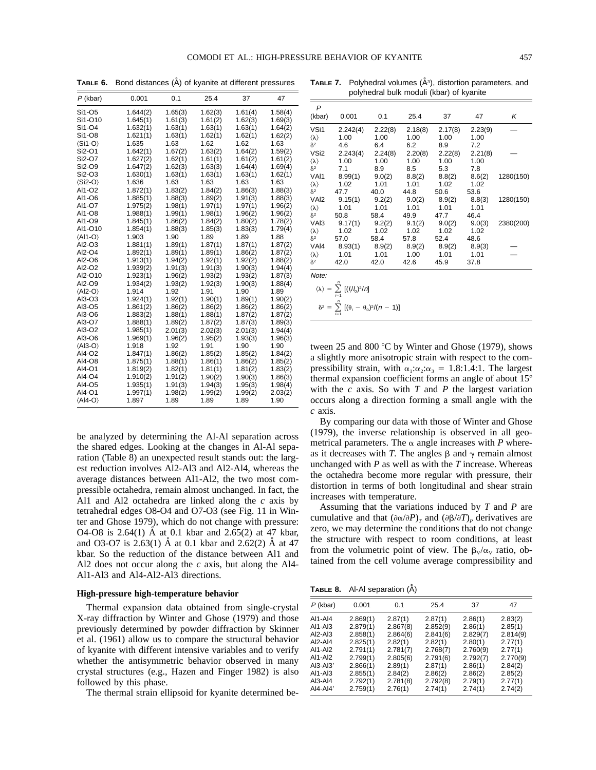**TABLE 6.** Bond distances (A) of kyanite at different pressures

| $P$ (kbar)                | 0.001    | 0.1     | 25.4    | 37      | 47      |
|---------------------------|----------|---------|---------|---------|---------|
| Si1-O5                    | 1.644(2) | 1.65(3) | 1.62(3) | 1.61(4) | 1.58(4) |
| Si1-O10                   | 1.645(1) | 1.61(3) | 1.61(2) | 1.62(3) | 1.69(3) |
| Si1-O4                    | 1.632(1) | 1.63(1) | 1.63(1) | 1.63(1) | 1.64(2) |
| Si1-O8                    | 1.621(1) | 1.63(1) | 1.62(1) | 1.62(1) | 1.62(2) |
| $\langle$ Si1-O $\rangle$ | 1.635    | 1.63    | 1.62    | 1.62    | 1.63    |
| Si2-O1                    | 1.642(1) | 1.67(2) | 1.63(2) | 1.64(2) | 1.59(2) |
| Si2-O7                    | 1.627(2) | 1.62(1) | 1.61(1) | 1.61(2) | 1.61(2) |
| Si2-O9                    | 1.647(2) | 1.62(3) | 1.63(3) | 1.64(4) | 1.69(4) |
| Si2-O3                    | 1.630(1) | 1.63(1) | 1.63(1) | 1.63(1) | 1.62(1) |
| $\langle$ Si2-O $\rangle$ | 1.636    | 1.63    | 1.63    | 1.63    | 1.63    |
| AI1-O2                    | 1.872(1) | 1.83(2) | 1.84(2) | 1.86(3) | 1.88(3) |
| AI1-O6                    | 1.885(1) | 1.88(3) | 1.89(2) | 1.91(3) | 1.88(3) |
| AI1-07                    | 1.975(2) | 1.98(1) | 1.97(1) | 1.97(1) | 1.96(2) |
| AI1-08                    | 1.988(1) | 1.99(1) | 1.98(1) | 1.96(2) | 1.96(2) |
| AI1-O9                    | 1.845(1) | 1.86(2) | 1.84(2) | 1.80(2) | 1.78(2) |
| Al1-O10                   | 1.854(1) | 1.88(3) | 1.85(3) | 1.83(3) | 1.79(4) |
| $\langle$ Al1-O $\rangle$ | 1.903    | 1.90    | 1.89    | 1.89    | 1.88    |
| AI2-O3                    | 1.881(1) | 1.89(1) | 1.87(1) | 1.87(1) | 1.87(2) |
| AI2-04                    | 1.892(1) | 1.89(1) | 1.89(1) | 1.86(2) | 1.87(2) |
| AI2-O6                    | 1.913(1) | 1.94(2) | 1.92(1) | 1.92(2) | 1.88(2) |
| Al2-O2                    | 1.939(2) | 1.91(3) | 1.91(3) | 1.90(3) | 1.94(4) |
| AI2-010                   | 1.923(1) | 1.96(2) | 1.93(2) | 1.93(2) | 1.87(3) |
| AI2-O9                    | 1.934(2) | 1.93(2) | 1.92(3) | 1.90(3) | 1.88(4) |
| $\langle$ Al2-O $\rangle$ | 1.914    | 1.92    | 1.91    | 1.90    | 1.89    |
| AI3-O3                    | 1.924(1) | 1.92(1) | 1.90(1) | 1.89(1) | 1.90(2) |
| AI3-05                    | 1.861(2) | 1.86(2) | 1.86(2) | 1.86(2) | 1.86(2) |
| AI3-O6                    | 1.883(2) | 1.88(1) | 1.88(1) | 1.87(2) | 1.87(2) |
| AI3-O7                    | 1.888(1) | 1.89(2) | 1.87(2) | 1.87(3) | 1.89(3) |
| AI3-O2                    | 1.985(1) | 2.01(3) | 2.02(3) | 2.01(3) | 1.94(4) |
| AI3-O6                    | 1.969(1) | 1.96(2) | 1.95(2) | 1.93(3) | 1.96(3) |
| $\langle$ Al3-O $\rangle$ | 1.918    | 1.92    | 1.91    | 1.90    | 1.90    |
| AI4-O2                    | 1.847(1) | 1.86(2) | 1.85(2) | 1.85(2) | 1.84(2) |
| AI4-08                    | 1.875(1) | 1.88(1) | 1.86(1) | 1.86(2) | 1.85(2) |
| AI4-01                    | 1.819(2) | 1.82(1) | 1.81(1) | 1.81(2) | 1.83(2) |
| AI4-04                    | 1.910(2) | 1.91(2) | 1.90(2) | 1.90(3) | 1.86(3) |
| AI4-05                    | 1.935(1) | 1.91(3) | 1.94(3) | 1.95(3) | 1.98(4) |
| AI4-01                    | 1.997(1) | 1.98(2) | 1.99(2) | 1.99(2) | 2.03(2) |
| $\langle$ Al4-O $\rangle$ | 1.897    | 1.89    | 1.89    | 1.89    | 1.90    |

be analyzed by determining the Al-Al separation across the shared edges. Looking at the changes in Al-Al separation (Table 8) an unexpected result stands out: the largest reduction involves Al2-Al3 and Al2-Al4, whereas the average distances between Al1-Al2, the two most compressible octahedra, remain almost unchanged. In fact, the Al1 and Al2 octahedra are linked along the *c* axis by tetrahedral edges O8-O4 and O7-O3 (see Fig. 11 in Winter and Ghose 1979), which do not change with pressure: O4-O8 is  $2.64(1)$  Å at 0.1 kbar and  $2.65(2)$  at 47 kbar, and O3-O7 is  $2.63(1)$  Å at 0.1 kbar and  $2.62(2)$  Å at 47 kbar. So the reduction of the distance between Al1 and Al2 does not occur along the *c* axis, but along the Al4- Al1-Al3 and Al4-Al2-Al3 directions.

#### **High-pressure high-temperature behavior**

Thermal expansion data obtained from single-crystal X-ray diffraction by Winter and Ghose (1979) and those previously determined by powder diffraction by Skinner et al. (1961) allow us to compare the structural behavior of kyanite with different intensive variables and to verify whether the antisymmetric behavior observed in many crystal structures (e.g., Hazen and Finger 1982) is also followed by this phase.

The thermal strain ellipsoid for kyanite determined be-

**TABLE 7.** Polyhedral volumes ( $A^{3}$ ), distortion parameters, and polyhedral bulk moduli (kbar) of kyanite

| $\mathsf{P}$<br>(kbar)    | 0.001    | 0.1     | 25.4    | 37      | 47      | Κ         |
|---------------------------|----------|---------|---------|---------|---------|-----------|
|                           |          |         |         |         |         |           |
| VSi1                      | 2.242(4) | 2.22(8) | 2.18(8) | 2.17(8) | 2.23(9) |           |
| $\langle \lambda \rangle$ | 1.00     | 1.00    | 1.00    | 1.00    | 1.00    |           |
| $\delta^2$                | 4.6      | 6.4     | 6.2     | 8.9     | 7.2     |           |
| VSi <sub>2</sub>          | 2.243(4) | 2.24(8) | 2.20(8) | 2.22(8) | 2.21(8) |           |
| $\langle \lambda \rangle$ | 1.00     | 1.00    | 1.00    | 1.00    | 1.00    |           |
| $\delta^2$                | 7.1      | 8.9     | 8.5     | 5.3     | 7.8     |           |
| VAI1                      | 8.99(1)  | 9.0(2)  | 8.8(2)  | 8.8(2)  | 8.6(2)  | 1280(150) |
| $\langle \lambda \rangle$ | 1.02     | 1.01    | 1.01    | 1.02    | 1.02    |           |
| $\delta^2$                | 47.7     | 40.0    | 44.8    | 50.6    | 53.6    |           |
| VAI <sub>2</sub>          | 9.15(1)  | 9.2(2)  | 9.0(2)  | 8.9(2)  | 8.8(3)  | 1280(150) |
| $\langle \lambda \rangle$ | 1.01     | 1.01    | 1.01    | 1.01    | 1.01    |           |
| $\delta^2$                | 50.8     | 58.4    | 49.9    | 47.7    | 46.4    |           |
| VAI <sub>3</sub>          | 9.17(1)  | 9.2(2)  | 9.1(2)  | 9.0(2)  | 9.0(3)  | 2380(200) |
| $\langle \lambda \rangle$ | 1.02     | 1.02    | 1.02    | 1.02    | 1.02    |           |
| $\delta^2$                | 57.0     | 58.4    | 57.8    | 52.4    | 48.6    |           |
| VAI <sub>4</sub>          | 8.93(1)  | 8.9(2)  | 8.9(2)  | 8.9(2)  | 8.9(3)  |           |
| $\langle \lambda \rangle$ | 1.01     | 1.01    | 1.00    | 1.01    | 1.01    |           |
| $\delta^2$                | 42.0     | 42.0    | 42.6    | 45.9    | 37.8    |           |
| Note:                     |          |         |         |         |         |           |

|  | n<br>$i=1$ | $\langle \lambda \rangle = \sum \left[ (l_i/l_0)^2/n \right]$ |  |
|--|------------|---------------------------------------------------------------|--|
|  |            |                                                               |  |

$$
\delta^2 = \sum_{i=1}^n [(\theta_i - \theta_0)^2/(n-1)]
$$

tween 25 and 800  $\degree$ C by Winter and Ghose (1979), shows a slightly more anisotropic strain with respect to the compressibility strain, with  $\alpha_1:\alpha_2:\alpha_3 = 1.8:1.4:1$ . The largest thermal expansion coefficient forms an angle of about  $15^{\circ}$ with the *c* axis. So with *T* and *P* the largest variation occurs along a direction forming a small angle with the *c* axis.

By comparing our data with those of Winter and Ghose (1979), the inverse relationship is observed in all geometrical parameters. The  $\alpha$  angle increases with *P* whereas it decreases with *T*. The angles  $\beta$  and  $\gamma$  remain almost unchanged with *P* as well as with the *T* increase. Whereas the octahedra become more regular with pressure, their distortion in terms of both longitudinal and shear strain increases with temperature.

Assuming that the variations induced by *T* and *P* are cumulative and that  $(\partial \alpha/\partial P)_T$  and  $(\partial \beta/\partial T)_P$  derivatives are zero, we may determine the conditions that do not change the structure with respect to room conditions, at least from the volumetric point of view. The  $\beta_v/\alpha_v$  ratio, obtained from the cell volume average compressibility and

**TABLE 8.** Al-Al separation (A˚)

| $P$ (kbar)                                                                                                         | 0.001                                                                                                                | 0.1                                                                                                             | 25.4                                                                                                            | 37                                                                                                            | 47                                                                                                           |
|--------------------------------------------------------------------------------------------------------------------|----------------------------------------------------------------------------------------------------------------------|-----------------------------------------------------------------------------------------------------------------|-----------------------------------------------------------------------------------------------------------------|---------------------------------------------------------------------------------------------------------------|--------------------------------------------------------------------------------------------------------------|
| AI1-AI4<br>AI1-AI3<br>$AI2-AI3$<br>AI2-AI4<br>AI1-AI2<br>AI1-AI2<br>$AI3-AI3'$<br>AI1-AI3<br>$AI3-Al4$<br>AI4-AI4' | 2.869(1)<br>2.879(1)<br>2.858(1)<br>2.825(1)<br>2.791(1)<br>2.799(1)<br>2.866(1)<br>2.855(1)<br>2.792(1)<br>2.759(1) | 2.87(1)<br>2.867(8)<br>2.864(6)<br>2.82(1)<br>2.781(7)<br>2.805(6)<br>2.89(1)<br>2.84(2)<br>2.781(8)<br>2.76(1) | 2.87(1)<br>2.852(9)<br>2.841(6)<br>2.82(1)<br>2.768(7)<br>2.791(6)<br>2.87(1)<br>2.86(2)<br>2.792(8)<br>2.74(1) | 2.86(1)<br>2.86(1)<br>2.829(7)<br>2.80(1)<br>2.760(9)<br>2.792(7)<br>2.86(1)<br>2.86(2)<br>2.79(1)<br>2.74(1) | 2.83(2)<br>2.85(1)<br>2.814(9)<br>2.77(1)<br>2.77(1)<br>2.770(9)<br>2.84(2)<br>2.85(2)<br>2.77(1)<br>2.74(2) |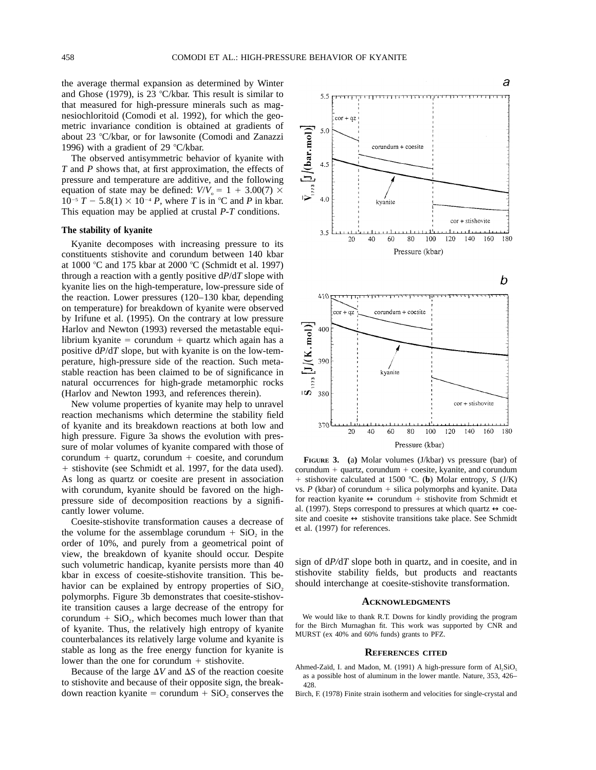the average thermal expansion as determined by Winter and Ghose (1979), is 23 °C/kbar. This result is similar to that measured for high-pressure minerals such as magnesiochloritoid (Comodi et al. 1992), for which the geometric invariance condition is obtained at gradients of about 23 °C/kbar, or for lawsonite (Comodi and Zanazzi 1996) with a gradient of 29  $\degree$ C/kbar.

The observed antisymmetric behavior of kyanite with *T* and *P* shows that, at first approximation, the effects of pressure and temperature are additive, and the following equation of state may be defined:  $V/V_0 = 1 + 3.00(7) \times$  $10^{-5}$  *T*  $-$  5.8(1)  $\times$  10<sup>-4</sup> *P*, where *T* is in °C and *P* in kbar. This equation may be applied at crustal *P-T* conditions.

## **The stability of kyanite**

Kyanite decomposes with increasing pressure to its constituents stishovite and corundum between 140 kbar at 1000 °C and 175 kbar at 2000 °C (Schmidt et al. 1997) through a reaction with a gently positive d*P*/d*T* slope with kyanite lies on the high-temperature, low-pressure side of the reaction. Lower pressures (120–130 kbar, depending on temperature) for breakdown of kyanite were observed by Irifune et al. (1995). On the contrary at low pressure Harlov and Newton (1993) reversed the metastable equilibrium kyanite = corundum + quartz which again has a positive d*P*/d*T* slope, but with kyanite is on the low-temperature, high-pressure side of the reaction. Such metastable reaction has been claimed to be of significance in natural occurrences for high-grade metamorphic rocks (Harlov and Newton 1993, and references therein).

New volume properties of kyanite may help to unravel reaction mechanisms which determine the stability field of kyanite and its breakdown reactions at both low and high pressure. Figure 3a shows the evolution with pressure of molar volumes of kyanite compared with those of corundum  $+$  quartz, corundum  $+$  coesite, and corundum 1 stishovite (see Schmidt et al. 1997, for the data used). As long as quartz or coesite are present in association with corundum, kyanite should be favored on the highpressure side of decomposition reactions by a significantly lower volume.

Coesite-stishovite transformation causes a decrease of the volume for the assemblage corundum  $+$  SiO<sub>2</sub> in the order of 10%, and purely from a geometrical point of view, the breakdown of kyanite should occur. Despite such volumetric handicap, kyanite persists more than 40 kbar in excess of coesite-stishovite transition. This behavior can be explained by entropy properties of  $SiO<sub>2</sub>$ polymorphs. Figure 3b demonstrates that coesite-stishovite transition causes a large decrease of the entropy for corundum  $+$  SiO<sub>2</sub>, which becomes much lower than that of kyanite. Thus, the relatively high entropy of kyanite counterbalances its relatively large volume and kyanite is stable as long as the free energy function for kyanite is lower than the one for corundum  $+$  stishovite.

Because of the large  $\Delta V$  and  $\Delta S$  of the reaction coesite to stishovite and because of their opposite sign, the breakdown reaction kyanite = corundum  $+$  SiO<sub>2</sub> conserves the





**FIGURE 3. (**a**)** Molar volumes (J/kbar) vs pressure (bar) of  $corundum + quartz$ ,  $corundum + cosite$ ,  $kyanite$ , and  $corundum$ 1 stishovite calculated at 1500 8C. (**b**) Molar entropy, *S* (J/K) vs.  $P$  (kbar) of corundum  $+$  silica polymorphs and kyanite. Data for reaction kyanite  $\leftrightarrow$  corundum + stishovite from Schmidt et al. (1997). Steps correspond to pressures at which quartz  $\leftrightarrow$  coesite and coesite  $\leftrightarrow$  stishovite transitions take place. See Schmidt et al. (1997) for references.

sign of d*P/*d*T* slope both in quartz, and in coesite, and in stishovite stability fields, but products and reactants should interchange at coesite-stishovite transformation.

#### **ACKNOWLEDGMENTS**

We would like to thank R.T. Downs for kindly providing the program for the Birch Murnaghan fit. This work was supported by CNR and MURST (ex 40% and 60% funds) grants to PFZ.

#### **REFERENCES CITED**

- Ahmed-Zaïd, I. and Madon, M. (1991) A high-pressure form of  $AI<sub>2</sub>SiO<sub>5</sub>$ as a possible host of aluminum in the lower mantle. Nature, 353, 426– 428.
- Birch, F. (1978) Finite strain isotherm and velocities for single-crystal and